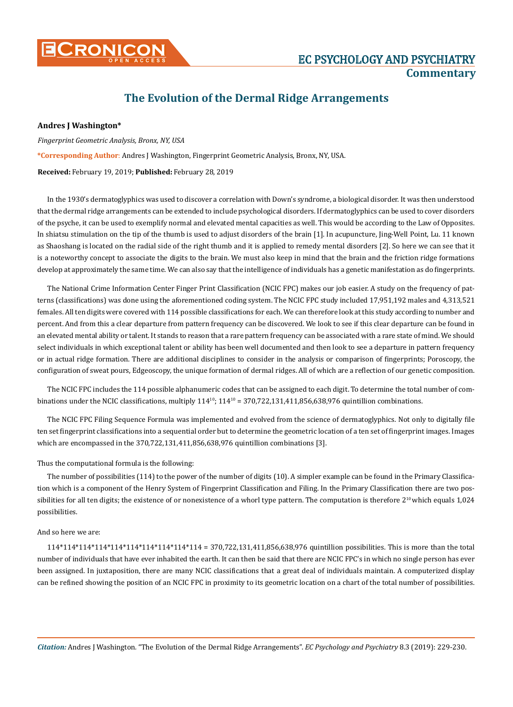

## **The Evolution of the Dermal Ridge Arrangements**

## **Andres J Washington\***

*Fingerprint Geometric Analysis, Bronx, NY, USA* 

**\*Corresponding Author**: Andres J Washington, Fingerprint Geometric Analysis, Bronx, NY, USA.

**Received:** February 19, 2019; **Published:** February 28, 2019

In the 1930's dermatoglyphics was used to discover a correlation with Down's syndrome, a biological disorder. It was then understood that the dermal ridge arrangements can be extended to include psychological disorders. If dermatoglyphics can be used to cover disorders of the psyche, it can be used to exemplify normal and elevated mental capacities as well. This would be according to the Law of Opposites. In shiatsu stimulation on the tip of the thumb is used to adjust disorders of the brain [1]. In acupuncture, Jing-Well Point, Lu. 11 known as Shaoshang is located on the radial side of the right thumb and it is applied to remedy mental disorders [2]. So here we can see that it is a noteworthy concept to associate the digits to the brain. We must also keep in mind that the brain and the friction ridge formations develop at approximately the same time. We can also say that the intelligence of individuals has a genetic manifestation as do fingerprints.

The National Crime Information Center Finger Print Classification (NCIC FPC) makes our job easier. A study on the frequency of patterns (classifications) was done using the aforementioned coding system. The NCIC FPC study included 17,951,192 males and 4,313,521 females. All ten digits were covered with 114 possible classifications for each. We can therefore look at this study according to number and percent. And from this a clear departure from pattern frequency can be discovered. We look to see if this clear departure can be found in an elevated mental ability or talent. It stands to reason that a rare pattern frequency can be associated with a rare state of mind. We should select individuals in which exceptional talent or ability has been well documented and then look to see a departure in pattern frequency or in actual ridge formation. There are additional disciplines to consider in the analysis or comparison of fingerprints; Poroscopy, the configuration of sweat pours, Edgeoscopy, the unique formation of dermal ridges. All of which are a reflection of our genetic composition.

The NCIC FPC includes the 114 possible alphanumeric codes that can be assigned to each digit. To determine the total number of combinations under the NCIC classifications, multiply  $114^{10}$ ;  $114^{10}$  = 370,722,131,411,856,638,976 quintillion combinations.

The NCIC FPC Filing Sequence Formula was implemented and evolved from the science of dermatoglyphics. Not only to digitally file ten set fingerprint classifications into a sequential order but to determine the geometric location of a ten set of fingerprint images. Images which are encompassed in the 370,722,131,411,856,638,976 quintillion combinations [3].

Thus the computational formula is the following:

The number of possibilities (114) to the power of the number of digits (10). A simpler example can be found in the Primary Classification which is a component of the Henry System of Fingerprint Classification and Filing. In the Primary Classification there are two possibilities for all ten digits; the existence of or nonexistence of a whorl type pattern. The computation is therefore  $2^{10}$  which equals 1,024 possibilities.

And so here we are:

114\*114\*114\*114\*114\*114\*114\*114\*114\*114 = 370,722,131,411,856,638,976 quintillion possibilities. This is more than the total number of individuals that have ever inhabited the earth. It can then be said that there are NCIC FPC's in which no single person has ever been assigned. In juxtaposition, there are many NCIC classifications that a great deal of individuals maintain. A computerized display can be refined showing the position of an NCIC FPC in proximity to its geometric location on a chart of the total number of possibilities.